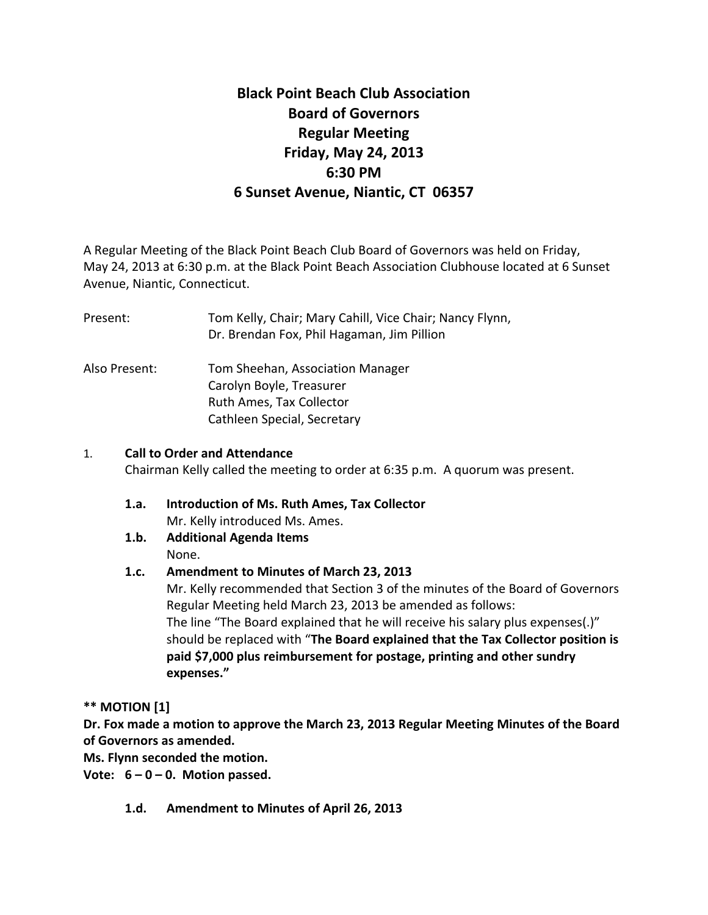# **Black Point Beach Club Association Board of Governors Regular Meeting Friday, May 24, 2013 6:30 PM 6 Sunset Avenue, Niantic, CT 06357**

A Regular Meeting of the Black Point Beach Club Board of Governors was held on Friday, May 24, 2013 at 6:30 p.m. at the Black Point Beach Association Clubhouse located at 6 Sunset Avenue, Niantic, Connecticut.

Present: Tom Kelly, Chair; Mary Cahill, Vice Chair; Nancy Flynn, Dr. Brendan Fox, Phil Hagaman, Jim Pillion

Also Present: Tom Sheehan, Association Manager Carolyn Boyle, Treasurer Ruth Ames, Tax Collector Cathleen Special, Secretary

### 1. **Call to Order and Attendance**

Chairman Kelly called the meeting to order at 6:35 p.m. A quorum was present.

- **1.a. Introduction of Ms. Ruth Ames, Tax Collector** Mr. Kelly introduced Ms. Ames.
- **1.b. Additional Agenda Items**  None.

### **1.c. Amendment to Minutes of March 23, 2013**

Mr. Kelly recommended that Section 3 of the minutes of the Board of Governors Regular Meeting held March 23, 2013 be amended as follows: The line "The Board explained that he will receive his salary plus expenses(.)" should be replaced with "**The Board explained that the Tax Collector position is paid \$7,000 plus reimbursement for postage, printing and other sundry expenses."**

**\*\* MOTION [1]**

**Dr. Fox made a motion to approve the March 23, 2013 Regular Meeting Minutes of the Board of Governors as amended.**

**Ms. Flynn seconded the motion.**

**Vote: 6 – 0 – 0. Motion passed.**

**1.d. Amendment to Minutes of April 26, 2013**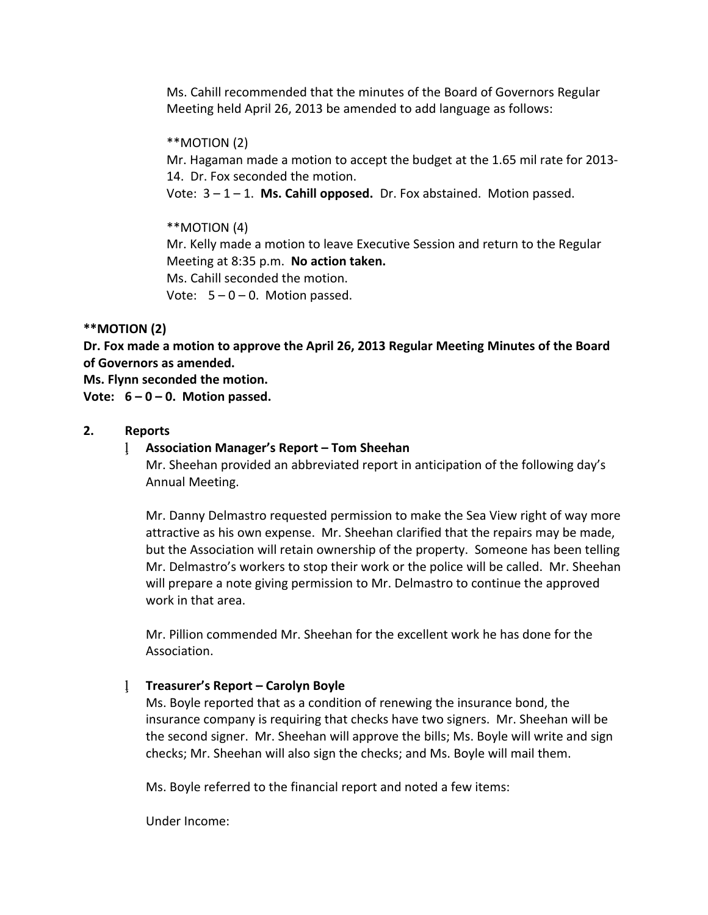Ms. Cahill recommended that the minutes of the Board of Governors Regular Meeting held April 26, 2013 be amended to add language as follows:

#### \*\*MOTION (2)

Mr. Hagaman made a motion to accept the budget at the 1.65 mil rate for 2013- 14. Dr. Fox seconded the motion.

Vote: 3 – 1 – 1. **Ms. Cahill opposed.** Dr. Fox abstained. Motion passed.

### \*\*MOTION (4)

Mr. Kelly made a motion to leave Executive Session and return to the Regular Meeting at 8:35 p.m. **No action taken.** Ms. Cahill seconded the motion.

Vote:  $5 - 0 - 0$ . Motion passed.

### **\*\*MOTION (2)**

**Dr. Fox made a motion to approve the April 26, 2013 Regular Meeting Minutes of the Board of Governors as amended.**

#### **Ms. Flynn seconded the motion.**

**Vote: 6 – 0 – 0. Motion passed.**

#### **2. Reports**

### **Association Manager's Report – Tom Sheehan**

Mr. Sheehan provided an abbreviated report in anticipation of the following day's Annual Meeting.

Mr. Danny Delmastro requested permission to make the Sea View right of way more attractive as his own expense. Mr. Sheehan clarified that the repairs may be made, but the Association will retain ownership of the property. Someone has been telling Mr. Delmastro's workers to stop their work or the police will be called. Mr. Sheehan will prepare a note giving permission to Mr. Delmastro to continue the approved work in that area.

Mr. Pillion commended Mr. Sheehan for the excellent work he has done for the Association.

### **Treasurer's Report – Carolyn Boyle**

Ms. Boyle reported that as a condition of renewing the insurance bond, the insurance company is requiring that checks have two signers. Mr. Sheehan will be the second signer. Mr. Sheehan will approve the bills; Ms. Boyle will write and sign checks; Mr. Sheehan will also sign the checks; and Ms. Boyle will mail them.

Ms. Boyle referred to the financial report and noted a few items:

Under Income: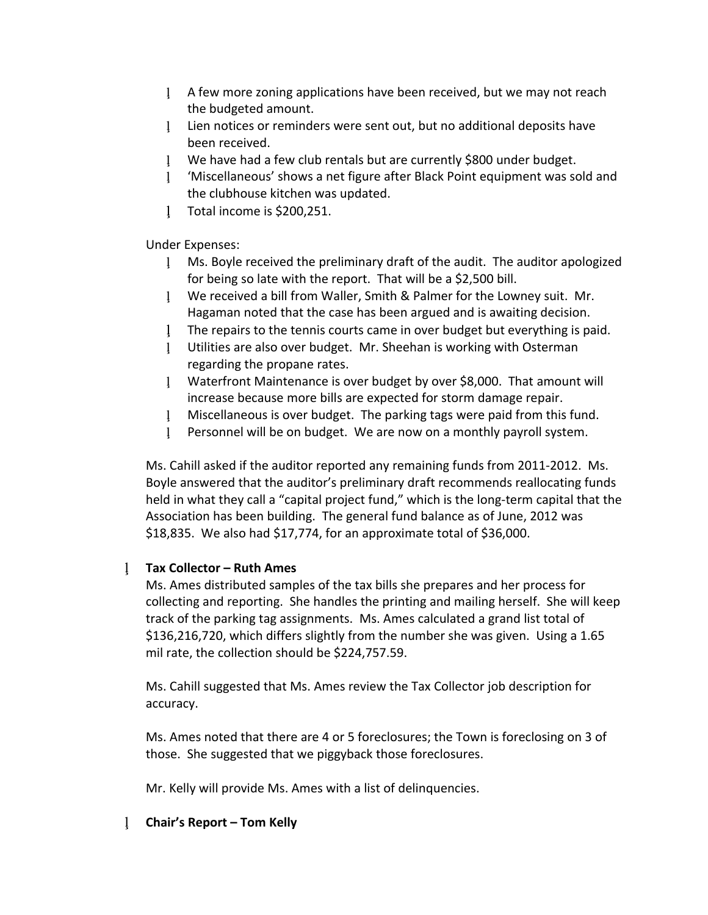- A few more zoning applications have been received, but we may not reach the budgeted amount.
- Lien notices or reminders were sent out, but no additional deposits have been received.
- We have had a few club rentals but are currently \$800 under budget.
- 'Miscellaneous' shows a net figure after Black Point equipment was sold and the clubhouse kitchen was updated.
- Total income is \$200,251.

Under Expenses:

- Ms. Boyle received the preliminary draft of the audit. The auditor apologized for being so late with the report. That will be a \$2,500 bill.
- We received a bill from Waller, Smith & Palmer for the Lowney suit. Mr. Hagaman noted that the case has been argued and is awaiting decision.
- The repairs to the tennis courts came in over budget but everything is paid.
- Utilities are also over budget. Mr. Sheehan is working with Osterman regarding the propane rates.
- Waterfront Maintenance is over budget by over \$8,000. That amount will increase because more bills are expected for storm damage repair.
- Miscellaneous is over budget. The parking tags were paid from this fund.
- Personnel will be on budget. We are now on a monthly payroll system.

Ms. Cahill asked if the auditor reported any remaining funds from 2011-2012. Ms. Boyle answered that the auditor's preliminary draft recommends reallocating funds held in what they call a "capital project fund," which is the long-term capital that the Association has been building. The general fund balance as of June, 2012 was \$18,835. We also had \$17,774, for an approximate total of \$36,000.

### **Tax Collector – Ruth Ames**

Ms. Ames distributed samples of the tax bills she prepares and her process for collecting and reporting. She handles the printing and mailing herself. She will keep track of the parking tag assignments. Ms. Ames calculated a grand list total of \$136,216,720, which differs slightly from the number she was given. Using a 1.65 mil rate, the collection should be \$224,757.59.

Ms. Cahill suggested that Ms. Ames review the Tax Collector job description for accuracy.

Ms. Ames noted that there are 4 or 5 foreclosures; the Town is foreclosing on 3 of those. She suggested that we piggyback those foreclosures.

Mr. Kelly will provide Ms. Ames with a list of delinquencies.

### **Chair's Report – Tom Kelly**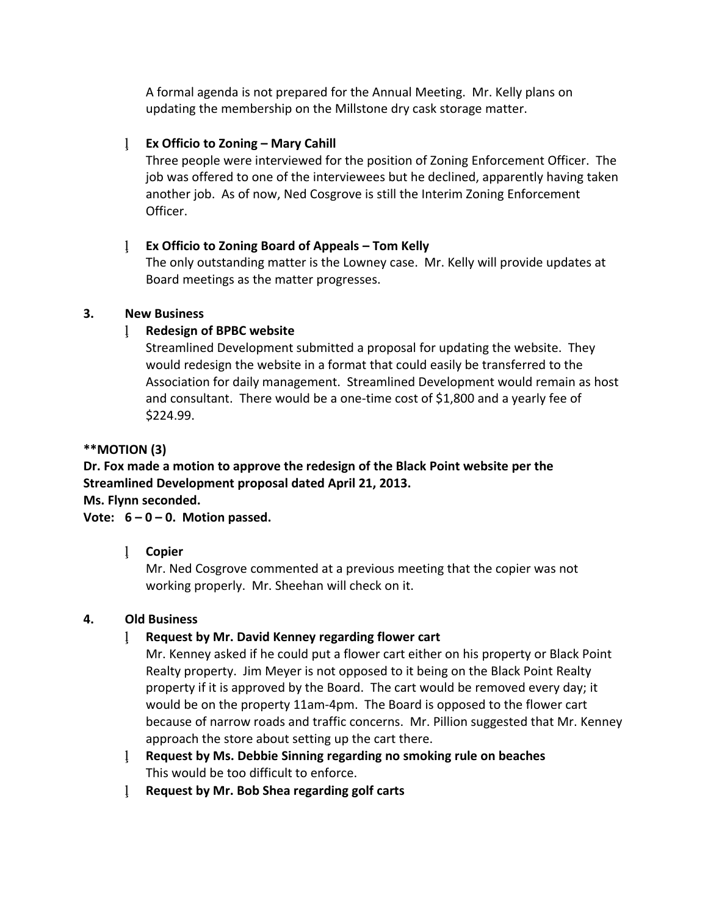A formal agenda is not prepared for the Annual Meeting. Mr. Kelly plans on updating the membership on the Millstone dry cask storage matter.

### **Ex Officio to Zoning – Mary Cahill**

Three people were interviewed for the position of Zoning Enforcement Officer. The job was offered to one of the interviewees but he declined, apparently having taken another job. As of now, Ned Cosgrove is still the Interim Zoning Enforcement Officer.

### **Ex Officio to Zoning Board of Appeals – Tom Kelly**

The only outstanding matter is the Lowney case. Mr. Kelly will provide updates at Board meetings as the matter progresses.

### **3. New Business**

# **Redesign of BPBC website**

Streamlined Development submitted a proposal for updating the website. They would redesign the website in a format that could easily be transferred to the Association for daily management. Streamlined Development would remain as host and consultant. There would be a one-time cost of \$1,800 and a yearly fee of \$224.99.

# **\*\*MOTION (3)**

**Dr. Fox made a motion to approve the redesign of the Black Point website per the Streamlined Development proposal dated April 21, 2013. Ms. Flynn seconded.**

# **Vote: 6 – 0 – 0. Motion passed.**

# **Copier**

Mr. Ned Cosgrove commented at a previous meeting that the copier was not working properly. Mr. Sheehan will check on it.

# **4. Old Business**

# **Request by Mr. David Kenney regarding flower cart**

Mr. Kenney asked if he could put a flower cart either on his property or Black Point Realty property. Jim Meyer is not opposed to it being on the Black Point Realty property if it is approved by the Board. The cart would be removed every day; it would be on the property 11am-4pm. The Board is opposed to the flower cart because of narrow roads and traffic concerns. Mr. Pillion suggested that Mr. Kenney approach the store about setting up the cart there.

- **Request by Ms. Debbie Sinning regarding no smoking rule on beaches** This would be too difficult to enforce.
- **Request by Mr. Bob Shea regarding golf carts**